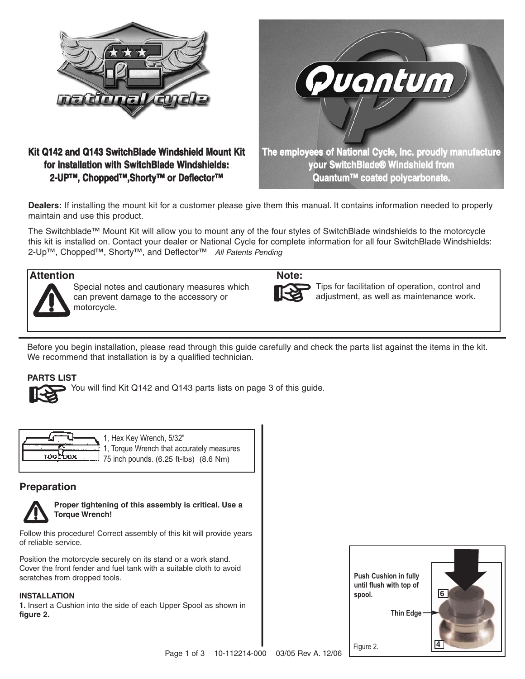

## **Kit Q142 and Q143 SwitchBlade Windshield Mount Kit for installation with SwitchBlade Windshields: 2-UP™, Chopped™,Shorty™ or Deflector™**



**Dealers:** If installing the mount kit for a customer please give them this manual. It contains information needed to properly maintain and use this product.

The Switchblade™ Mount Kit will allow you to mount any of the four styles of SwitchBlade windshields to the motorcycle this kit is installed on. Contact your dealer or National Cycle for complete information for all four SwitchBlade Windshields: 2-Up™, Chopped™, Shorty™, and Deflector™ All Patents Pending

## **Attention Note:**



Special notes and cautionary measures which can prevent damage to the accessory or motorcycle.



Tips for facilitation of operation, control and adjustment, as well as maintenance work.

Before you begin installation, please read through this guide carefully and check the parts list against the items in the kit. We recommend that installation is by a qualified technician.

### **PARTS LIST**



| TOOL<br><b>BOX</b> | ה' |
|--------------------|----|
|                    |    |

Hex Key Wrench, 5/32" **Torque Wrench that accurately measures**  $\int$  inch pounds. (6.25 ft-lbs) (8.6 Nm)

## **Preparation**



**Proper tightening of this assembly is critical. Use a Torque Wrench!** 

Follow this procedure! Correct assembly of this kit will provide years of reliable service.

Position the motorcycle securely on its stand or a work stand. Cover the front fender and fuel tank with a suitable cloth to avoid scratches from dropped tools.

#### **INSTALLATION**

**1.** Insert a Cushion into the side of each Upper Spool as shown in **figure 2.**

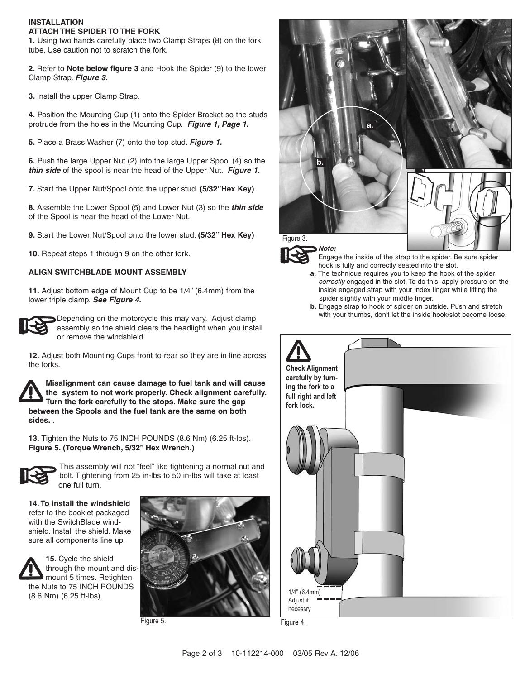#### **INSTALLATION ATTACH THE SPIDER TO THE FORK**

**1.** Using two hands carefully place two Clamp Straps (8) on the fork tube. Use caution not to scratch the fork.

**2.** Refer to **Note below figure 3** and Hook the Spider (9) to the lower Clamp Strap. **Figure 3.**

**3.** Install the upper Clamp Strap.

**4.** Position the Mounting Cup (1) onto the Spider Bracket so the studs protrude from the holes in the Mounting Cup. **Figure 1, Page 1.**

**5.** Place a Brass Washer (7) onto the top stud. **Figure 1.**

**6.** Push the large Upper Nut (2) into the large Upper Spool (4) so the **thin side** of the spool is near the head of the Upper Nut. **Figure 1.**

**7.** Start the Upper Nut/Spool onto the upper stud. **(5/32"Hex Key)**

**8.** Assemble the Lower Spool (5) and Lower Nut (3) so the **thin side** of the Spool is near the head of the Lower Nut.

**9.** Start the Lower Nut/Spool onto the lower stud. **(5/32" Hex Key)**

**10.** Repeat steps 1 through 9 on the other fork.

#### **ALIGN SWITCHBLADE MOUNT ASSEMBLY**

**11.** Adjust bottom edge of Mount Cup to be 1/4" (6.4mm) from the lower triple clamp. **See Figure 4.**



Depending on the motorcycle this may vary. Adjust clamp assembly so the shield clears the headlight when you install or remove the windshield.

**12.** Adjust both Mounting Cups front to rear so they are in line across the forks.

**Misalignment can cause damage to fuel tank and will cause the system to not work properly. Check alignment carefully. Turn the fork carefully to the stops. Make sure the gap between the Spools and the fuel tank are the same on both sides.** .

**13.** Tighten the Nuts to 75 INCH POUNDS (8.6 Nm) (6.25 ft-lbs). **Figure 5. (Torque Wrench, 5/32" Hex Wrench.)** 



This assembly will not "feel" like tightening a normal nut and bolt. Tightening from 25 in-lbs to 50 in-lbs will take at least one full turn.

**14. To install the windshield** refer to the booklet packaged with the SwitchBlade windshield. Install the shield. Make sure all components line up.









Engage the inside of the strap to the spider. Be sure spider hook is fully and correctly seated into the slot.

- **a.** The technique requires you to keep the hook of the spider correctly engaged in the slot. To do this, apply pressure on the inside engaged strap with your index finger while lifting the spider slightly with your middle finger.
- **b.** Engage strap to hook of spider on outside. Push and stretch with your thumbs, don't let the inside hook/slot become loose.